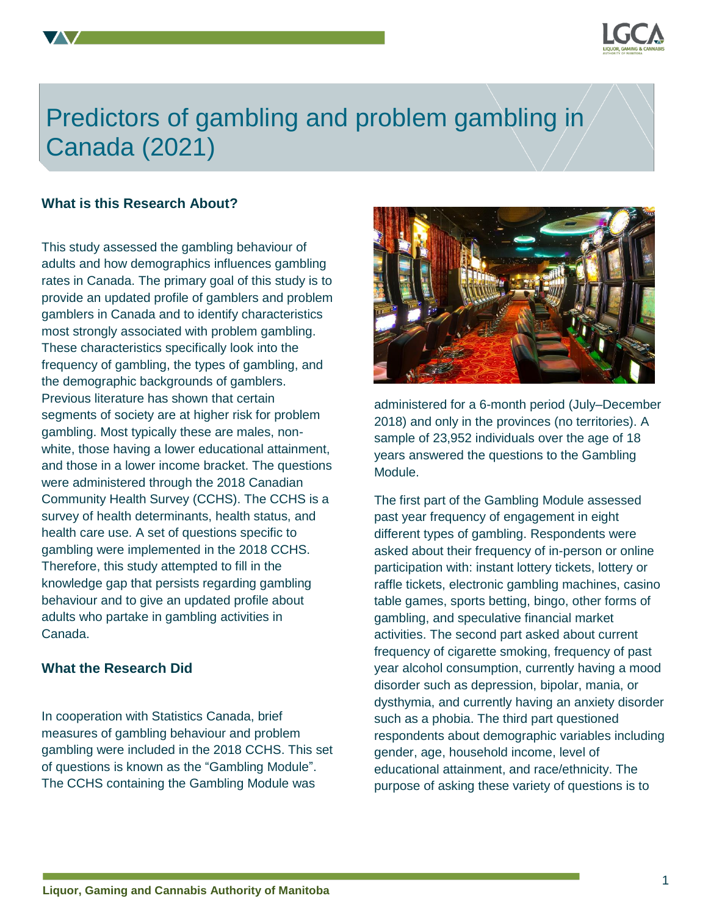

# Predictors of gambling and problem gambling in  $C$ anada (2021) $\sqrt{1/2}$

### **What is this Research About?**

This study assessed the gambling behaviour of adults and how demographics influences gambling rates in Canada. The primary goal of this study is to provide an updated profile of gamblers and problem gamblers in Canada and to identify characteristics most strongly associated with problem gambling. These characteristics specifically look into the frequency of gambling, the types of gambling, and the demographic backgrounds of gamblers. Previous literature has shown that certain segments of society are at higher risk for problem gambling. Most typically these are males, nonwhite, those having a lower educational attainment, and those in a lower income bracket. The questions were administered through the 2018 Canadian Community Health Survey (CCHS). The CCHS is a survey of health determinants, health status, and health care use. A set of questions specific to gambling were implemented in the 2018 CCHS. Therefore, this study attempted to fill in the knowledge gap that persists regarding gambling behaviour and to give an updated profile about adults who partake in gambling activities in Canada.

### **What the Research Did**

In cooperation with Statistics Canada, brief measures of gambling behaviour and problem gambling were included in the 2018 CCHS. This set of questions is known as the "Gambling Module". The CCHS containing the Gambling Module was



administered for a 6-month period (July–December 2018) and only in the provinces (no territories). A sample of 23,952 individuals over the age of 18 years answered the questions to the Gambling Module.

The first part of the Gambling Module assessed past year frequency of engagement in eight different types of gambling. Respondents were asked about their frequency of in-person or online participation with: instant lottery tickets, lottery or raffle tickets, electronic gambling machines, casino table games, sports betting, bingo, other forms of gambling, and speculative financial market activities. The second part asked about current frequency of cigarette smoking, frequency of past year alcohol consumption, currently having a mood disorder such as depression, bipolar, mania, or dysthymia, and currently having an anxiety disorder such as a phobia. The third part questioned respondents about demographic variables including gender, age, household income, level of educational attainment, and race/ethnicity. The purpose of asking these variety of questions is to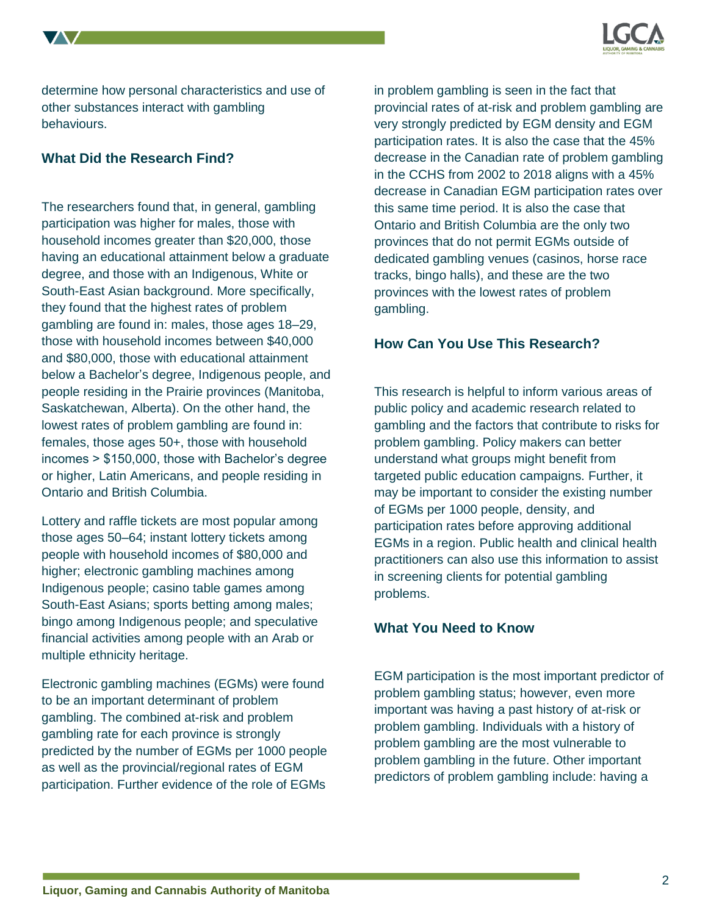

determine how personal characteristics and use of other substances interact with gambling behaviours.

# **What Did the Research Find?**

The researchers found that, in general, gambling participation was higher for males, those with household incomes greater than \$20,000, those having an educational attainment below a graduate degree, and those with an Indigenous, White or South-East Asian background. More specifically, they found that the highest rates of problem gambling are found in: males, those ages 18–29, those with household incomes between \$40,000 and \$80,000, those with educational attainment below a Bachelor's degree, Indigenous people, and people residing in the Prairie provinces (Manitoba, Saskatchewan, Alberta). On the other hand, the lowest rates of problem gambling are found in: females, those ages 50+, those with household incomes > \$150,000, those with Bachelor's degree or higher, Latin Americans, and people residing in Ontario and British Columbia.

Lottery and raffle tickets are most popular among those ages 50–64; instant lottery tickets among people with household incomes of \$80,000 and higher; electronic gambling machines among Indigenous people; casino table games among South-East Asians; sports betting among males; bingo among Indigenous people; and speculative financial activities among people with an Arab or multiple ethnicity heritage.

Electronic gambling machines (EGMs) were found to be an important determinant of problem gambling. The combined at-risk and problem gambling rate for each province is strongly predicted by the number of EGMs per 1000 people as well as the provincial/regional rates of EGM participation. Further evidence of the role of EGMs

in problem gambling is seen in the fact that provincial rates of at-risk and problem gambling are very strongly predicted by EGM density and EGM participation rates. It is also the case that the 45% decrease in the Canadian rate of problem gambling in the CCHS from 2002 to 2018 aligns with a 45% decrease in Canadian EGM participation rates over this same time period. It is also the case that Ontario and British Columbia are the only two provinces that do not permit EGMs outside of dedicated gambling venues (casinos, horse race tracks, bingo halls), and these are the two provinces with the lowest rates of problem gambling.

# **How Can You Use This Research?**

This research is helpful to inform various areas of public policy and academic research related to gambling and the factors that contribute to risks for problem gambling. Policy makers can better understand what groups might benefit from targeted public education campaigns. Further, it may be important to consider the existing number of EGMs per 1000 people, density, and participation rates before approving additional EGMs in a region. Public health and clinical health practitioners can also use this information to assist in screening clients for potential gambling problems.

## **What You Need to Know**

EGM participation is the most important predictor of problem gambling status; however, even more important was having a past history of at-risk or problem gambling. Individuals with a history of problem gambling are the most vulnerable to problem gambling in the future. Other important predictors of problem gambling include: having a